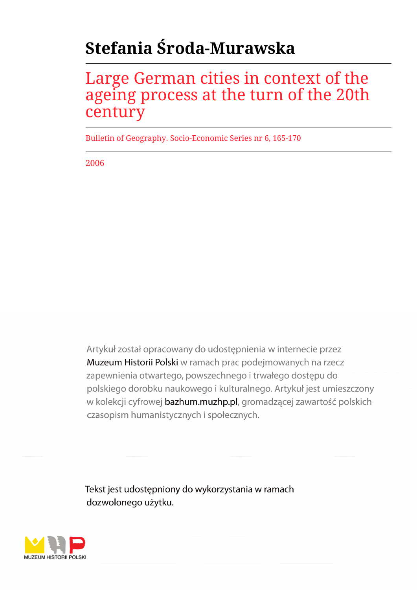# **Stefania Środa-Murawska**

## Large German cities in context of the ageing process at the turn of the 20th century

Bulletin of Geography. Socio-Economic Series nr 6, 165-170

2006

Artykuł został opracowany do udostępnienia w internecie przez Muzeum Historii Polski w ramach prac podejmowanych na rzecz zapewnienia otwartego, powszechnego i trwałego dostępu do polskiego dorobku naukowego i kulturalnego. Artykuł jest umieszczony w kolekcji cyfrowej bazhum.muzhp.pl, gromadzącej zawartość polskich czasopism humanistycznych i społecznych.

Tekst jest udostępniony do wykorzystania w ramach dozwolonego użytku.

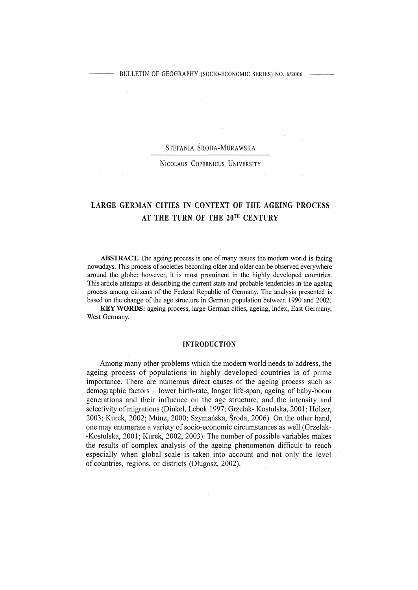## STEFANIA ŚRODA-MURAWSKA

**N icolaus Copernicus U niversity**

## LARGE GERMAN CITIES IN CONTEXT OF THE AGEING PROCESS AT THE TURN OF THE 20TH CENTURY

ABSTRACT. The ageing process is one of many issues the modem world is facing nowadays. This process of societies becoming older and older can be observed everywhere around the globe; however, it is most prominent in the highly developed countries. This article attempts at describing the current state and probable tendencies in the ageing process among citizens of the Federal Republic of Germany. The analysis presented is based on the change of the age structure in German population between 1990 and 2002.

KEYWORDS: ageing process, large German cities, ageing, index, East Germany, West Germany.

#### **INTRODUCTION**

Among many other problems which the modem world needs to address, the ageing process of populations in highly developed countries is of prime importance. There are numerous direct causes of the ageing process such as demographic factors - lower birth-rate, longer life-span, ageing of baby-boom generations and their influence on the age structure, and the intensity and selectivity of migrations (Dinkel, Lebok 1997; Grzelak- Kostulska, 2001; Holzer, 2003; Kurek, 2002; Münz, 2000; Szymańska, Środa, 2006). On the other hand, one may enumerate a variety of socio-economic circumstances as well (Grzelak- -Kostulska, 2001; Kurek, 2002, 2003). The number of possible variables makes the results of complex analysis of the ageing phenomenon difficult to reach especially when global scale is taken into account and not only the level of countries, regions, or districts (Długosz, 2002).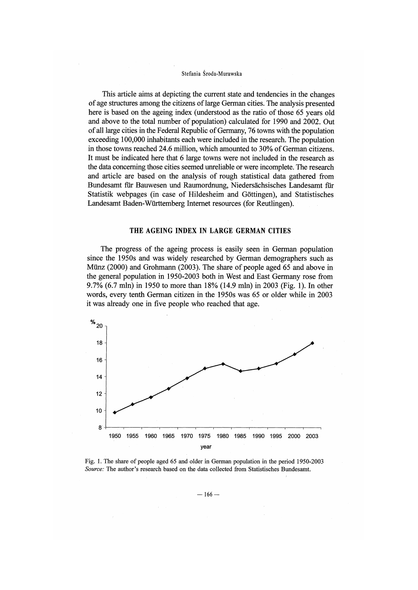#### Stefania Środa-Murawska

This article aims at depicting the current state and tendencies in the changes of age structures among the citizens of large German cities. The analysis presented here is based on the ageing index (understood as the ratio of those 65 years old and above to the total number of population) calculated for 1990 and 2002. Out of all large cities in the Federal Republic of Germany, 76 towns with the population exceeding 100,000 inhabitants each were included in the research. The population in those towns reached 24.6 million, which amounted to 30% of German citizens. It must be indicated here that 6 large towns were not included in the research as the data concerning those cities seemed unreliable or were incomplete. The research and article are based on the analysis of rough statistical data gathered from Bundesamt für Bauwesen und Raumordnung, Niedersächsisches Landesamt für Statistik webpages (in case of Hildesheim and Göttingen), and Statistisches Landesamt Baden-Württemberg Internet resources (for Reutlingen).

### THE AGEING INDEX IN LARGE GERMAN CITIES

The progress of the ageing process is easily seen in German population since the 1950s and was widely researched by German demographers such as Münz (2000) and Grohmann (2003). The share of people aged 65 and above in the general population in 1950-2003 both in West and East Germany rose from 9.7% (6.7 mln) in 1950 to more than 18% (14.9 mln) in 2003 (Fig. 1). In other words, every tenth German citizen in the 1950s was 65 or older while in 2003 it was already one in five people who reached that age.



Fig. 1. The share of people aged 65 and older in German population in the period 1950-2003 *Source:* **The author's research based on the data collected from Statistisches Bundesamt.**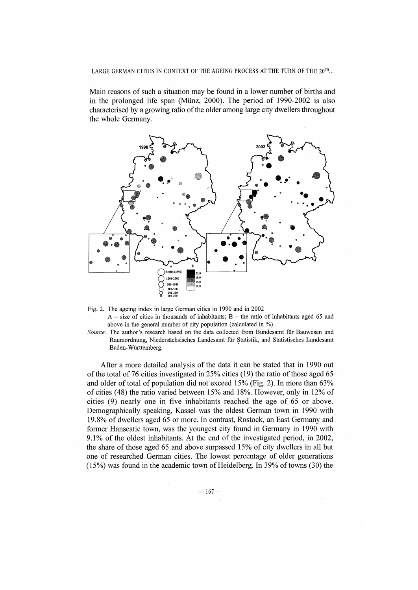#### LARGE GERMAN CITIES IN CONTEXT OF THE AGEING PROCESS AT THE TURN OF THE 20<sup>TH</sup>...

Main reasons of such a situation may be found in a lower number of births and in the prolonged life span (Münz, 2000). The period of 1990-2002 is also characterised by a growing ratio of the older among large city dwellers throughout the whole Germany.



- **Fig. 2. The ageing index in large German cities in 1990 and in 2002**  $A - size$  of cities in thousands of inhabitants;  $B - the$  ratio of inhabitants aged 65 and above in the general number of city population (calculated in %)
- *Source:* **The author's research based on the data collected from Bundesamt fur Bauwesen und Raumordnung, Niedersächsisches Landesamt für Statistik, and Statistisches Landesamt Baden-Württemberg.**

After a more detailed analysis of the data it can be stated that in 1990 out of the total of 76 cities investigated in 25% cities (19) the ratio of those aged 65 and older of total of population did not exceed 15% (Fig. 2). In more than 63% of cities (48) the ratio varied between 15% and 18%. However, only in 12% of cities  $(9)$  nearly one in five inhabitants reached the age of 65 or above. Demographically speaking, Kassel was the oldest German town in 1990 with 19.8% of dwellers aged 65 or more. In contrast, Rostock, an East Germany and former Hanseatic town, was the youngest city found in Germany in 1990 with 9.1% of the oldest inhabitants. At the end of the investigated period, in 2002, the share of those aged 65 and above surpassed  $15%$  of city dwellers in all but one of researched German cities. The lowest percentage of older generations (15%) was found in the academic town of Heidelberg. In 39% of towns (30) the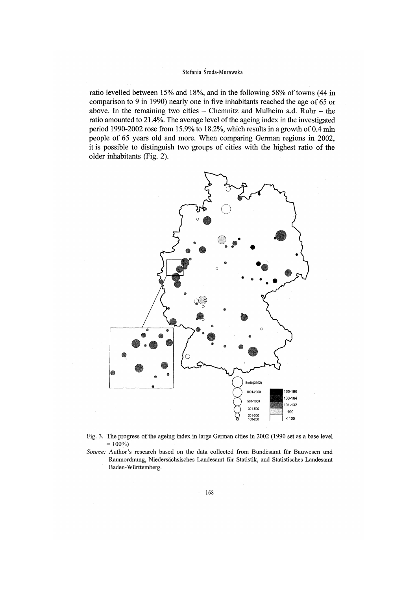#### Stefania Środa-Murawska

ratio levelled between 15% and 18%, and in the following 58% of towns (44 in comparison to 9 in 1990) nearly one in five inhabitants reached the age of  $65$  or above. In the remaining two cities  $-$  Chemnitz and Mulheim a.d. Ruhr  $-$  the ratio amounted to 21.4%. The average level of the ageing index in the investigated period 1990-2002 rose from 15.9% to 18.2%, which results in a growth of  $0.4$  mln people of 65 years old and more. When comparing German regions in 2002, it is possible to distinguish two groups of cities with the highest ratio of the older inhabitants (Fig. 2).



- Fig. 3. The progress of the ageing index in large German cities in 2002 (1990 set as a base level  $= 100\%)$
- *Source:* **Author's research based on the data collected from Bundesamt für Bauwesen und Raumordnung, Niedersächsisches Landesamt für Statistik, and Statistisches Landesamt Baden-Württemberg.**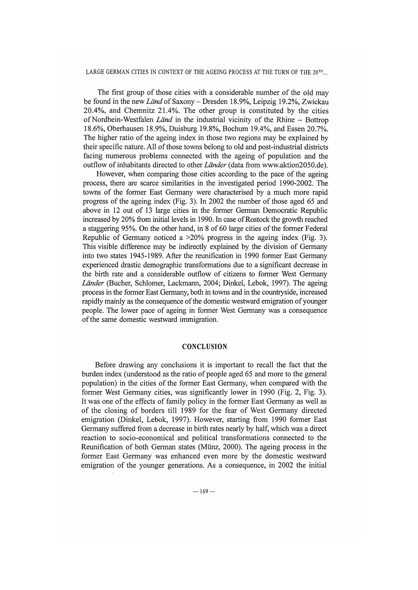#### LARGE GERMAN CITIES IN CONTEXT OF THE AGEING PROCESS AT THE TURN OF THE 20TH...

The first group of those cities with a considerable number of the old may be found in the new *Land* of Saxony - Dresden 18.9%, Leipzig 19.2%, Zwickau 20.4%, and Chemnitz 21.4%. The other group is constituted by the cities of Nordhein-Westfalen *Länd* in the industrial vicinity of the Rhine – Bottrop 18.6%, Oberhausen 18.9%, Duisburg 19.8%, Bochum 19.4%, and Essen 20.7%. The higher ratio of the ageing index in those two regions may be explained by their specific nature. All of those towns belong to old and post-industrial districts facing numerous problems connected with the ageing of population and the outflow of inhabitants directed to other *Länder* (data from [www.aktion2050.de](http://www.aktion2050.de)).

However, when comparing those cities according to the pace of the ageing process, there are scarce similarities in the investigated period 1990-2002. The towns of the former East Germany were characterised by a much more rapid progress of the ageing index (Fig. 3). In 2002 the number of those aged 65 and above in 12 out of 13 large cities in the former German Democratic Republic increased by 20% from initial levels in 1990. In case of Rostock the growth reached a staggering 95%. On the other hand, in 8 of 60 large cities of the former Federal Republic of Germany noticed a >20% progress in the ageing index (Fig. 3). This visible difference may be indirectly explained by the division of Germany into two states 1945-1989. After the reunification in 1990 former East Germany experienced drastic demographic transformations due to a significant decrease in the birth rate and a considerable outflow of citizens to former West Germany *Länder* (Bucher, Schlomer, Lackmann, 2004; Dinkel, Lebok, 1997). The ageing process in the former East Germany, both in towns and in the countryside, increased rapidly mainly as the consequence of the domestic westward emigration of younger people. The lower pace of ageing in former West Germany was a consequence of the same domestic westward immigration.

#### **CONCLUSION**

Before drawing any conclusions it is important to recall the fact that the burden index (understood as the ratio of people aged 65 and more to the general population) in the cities of the former East Germany, when compared with the former West Germany cities, was significantly lower in 1990 (Fig. 2, Fig. 3). It was one of the effects of family policy in the former East Germany as well as of the closing of borders till 1989 for the fear of West Germany directed emigration (Dinkel, Lebok, 1997). However, starting from 1990 former East Germany suffered from a decrease in birth rates nearly by half, which was a direct reaction to socio-economical and political transformations connected to the Reunification of both German states (Münz, 2000). The ageing process in the former East Germany was enhanced even more by the domestic westward emigration of the younger generations. As a consequence, in 2002 the initial